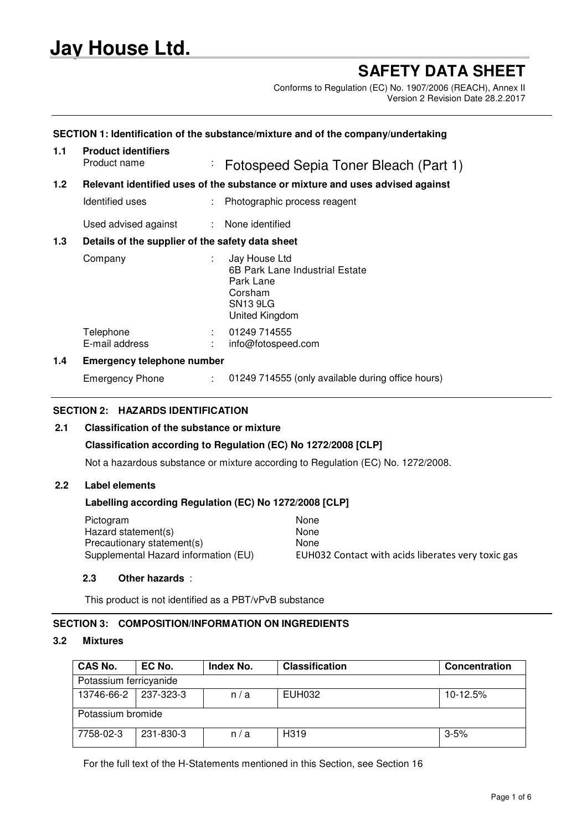# **Jay House Ltd.**

## **SAFETY DATA SHEET**

Conforms to Regulation (EC) No. 1907/2006 (REACH), Annex II Version 2 Revision Date 28.2.2017

## **1.1 Product identifiers** Product name : Fotospeed Sepia Toner Bleach (Part 1) **1.2 Relevant identified uses of the substance or mixture and uses advised against** Identified uses : Photographic process reagent Used advised against : None identified **1.3 Details of the supplier of the safety data sheet** Company : Jay House Ltd 6B Park Lane Industrial Estate Park Lane Corsham SN13 9LG United Kingdom Telephone : 01249 714555<br>
E-mail address : info@fotospee : info@fotospeed.com

**SECTION 1: Identification of the substance/mixture and of the company/undertaking**

## **1.4 Emergency telephone number**

Emergency Phone : 01249 714555 (only available during office hours)

#### **SECTION 2: HAZARDS IDENTIFICATION**

#### **2.1 Classification of the substance or mixture**

#### **Classification according to Regulation (EC) No 1272/2008 [CLP]**

Not a hazardous substance or mixture according to Regulation (EC) No. 1272/2008.

#### **2.2 Label elements**

## **Labelling according Regulation (EC) No 1272/2008 [CLP]**

| Pictogram                            | None                                               |
|--------------------------------------|----------------------------------------------------|
| Hazard statement(s)                  | None                                               |
| Precautionary statement(s)           | None                                               |
| Supplemental Hazard information (EU) | EUH032 Contact with acids liberates very toxic gas |
|                                      |                                                    |

#### **2.3 Other hazards** :

This product is not identified as a PBT/vPvB substance

## **SECTION 3: COMPOSITION/INFORMATION ON INGREDIENTS**

## **3.2 Mixtures**

| <b>CAS No.</b>         | EC No.    | Index No. | <b>Classification</b> | Concentration |
|------------------------|-----------|-----------|-----------------------|---------------|
| Potassium ferricyanide |           |           |                       |               |
| 13746-66-2 237-323-3   |           | n/a       | EUH032                | 10-12.5%      |
| Potassium bromide      |           |           |                       |               |
| 7758-02-3              | 231-830-3 | n/a       | H <sub>319</sub>      | $3 - 5%$      |

For the full text of the H-Statements mentioned in this Section, see Section 16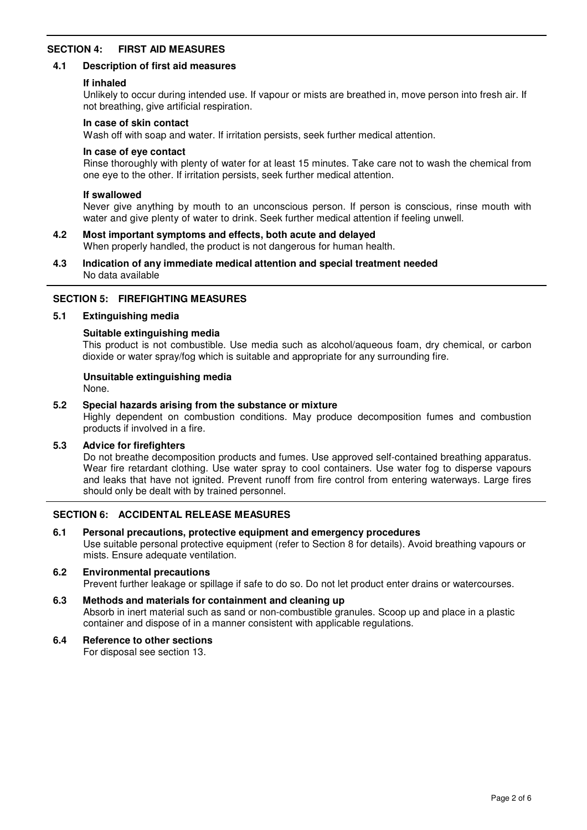## **SECTION 4: FIRST AID MEASURES**

#### **4.1 Description of first aid measures**

#### **If inhaled**

Unlikely to occur during intended use. If vapour or mists are breathed in, move person into fresh air. If not breathing, give artificial respiration.

#### **In case of skin contact**

Wash off with soap and water. If irritation persists, seek further medical attention.

#### **In case of eye contact**

Rinse thoroughly with plenty of water for at least 15 minutes. Take care not to wash the chemical from one eye to the other. If irritation persists, seek further medical attention.

#### **If swallowed**

Never give anything by mouth to an unconscious person. If person is conscious, rinse mouth with water and give plenty of water to drink. Seek further medical attention if feeling unwell.

#### **4.2 Most important symptoms and effects, both acute and delayed** When properly handled, the product is not dangerous for human health.

#### **4.3 Indication of any immediate medical attention and special treatment needed** No data available

## **SECTION 5: FIREFIGHTING MEASURES**

#### **5.1 Extinguishing media**

#### **Suitable extinguishing media**

This product is not combustible. Use media such as alcohol/aqueous foam, dry chemical, or carbon dioxide or water spray/fog which is suitable and appropriate for any surrounding fire.

## **Unsuitable extinguishing media**

None.

#### **5.2 Special hazards arising from the substance or mixture**

Highly dependent on combustion conditions. May produce decomposition fumes and combustion products if involved in a fire.

#### **5.3 Advice for firefighters**

Do not breathe decomposition products and fumes. Use approved self-contained breathing apparatus. Wear fire retardant clothing. Use water spray to cool containers. Use water fog to disperse vapours and leaks that have not ignited. Prevent runoff from fire control from entering waterways. Large fires should only be dealt with by trained personnel.

#### **SECTION 6: ACCIDENTAL RELEASE MEASURES**

#### **6.1 Personal precautions, protective equipment and emergency procedures**

Use suitable personal protective equipment (refer to Section 8 for details). Avoid breathing vapours or mists. Ensure adequate ventilation.

#### **6.2 Environmental precautions** Prevent further leakage or spillage if safe to do so. Do not let product enter drains or watercourses.

#### **6.3 Methods and materials for containment and cleaning up** Absorb in inert material such as sand or non-combustible granules. Scoop up and place in a plastic container and dispose of in a manner consistent with applicable regulations.

## **6.4 Reference to other sections**

For disposal see section 13.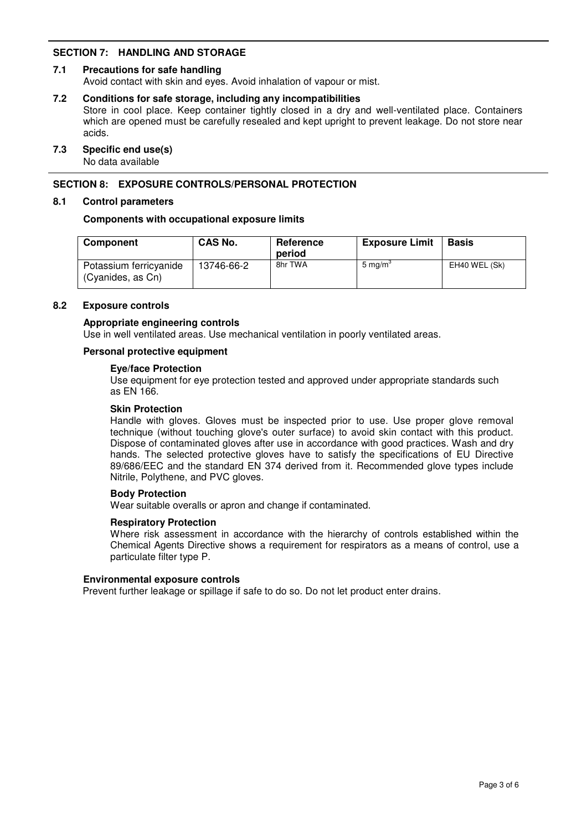## **SECTION 7: HANDLING AND STORAGE**

## **7.1 Precautions for safe handling**

Avoid contact with skin and eyes. Avoid inhalation of vapour or mist.

#### **7.2 Conditions for safe storage, including any incompatibilities**

Store in cool place. Keep container tightly closed in a dry and well-ventilated place. Containers which are opened must be carefully resealed and kept upright to prevent leakage. Do not store near acids.

#### **7.3 Specific end use(s)**

No data available

## **SECTION 8: EXPOSURE CONTROLS/PERSONAL PROTECTION**

#### **8.1 Control parameters**

#### **Components with occupational exposure limits**

| <b>Component</b>                            | CAS No.    | Reference<br>period | <b>Exposure Limit</b> | <b>Basis</b>  |
|---------------------------------------------|------------|---------------------|-----------------------|---------------|
| Potassium ferricyanide<br>(Cyanides, as Cn) | 13746-66-2 | 8hr TWA             | 5 mg/m <sup>3</sup>   | EH40 WEL (Sk) |

#### **8.2 Exposure controls**

#### **Appropriate engineering controls**

Use in well ventilated areas. Use mechanical ventilation in poorly ventilated areas.

#### **Personal protective equipment**

#### **Eye/face Protection**

Use equipment for eye protection tested and approved under appropriate standards such as EN 166.

#### **Skin Protection**

Handle with gloves. Gloves must be inspected prior to use. Use proper glove removal technique (without touching glove's outer surface) to avoid skin contact with this product. Dispose of contaminated gloves after use in accordance with good practices. Wash and dry hands. The selected protective gloves have to satisfy the specifications of EU Directive 89/686/EEC and the standard EN 374 derived from it. Recommended glove types include Nitrile, Polythene, and PVC gloves.

#### **Body Protection**

Wear suitable overalls or apron and change if contaminated.

#### **Respiratory Protection**

Where risk assessment in accordance with the hierarchy of controls established within the Chemical Agents Directive shows a requirement for respirators as a means of control, use a particulate filter type P.

#### **Environmental exposure controls**

Prevent further leakage or spillage if safe to do so. Do not let product enter drains.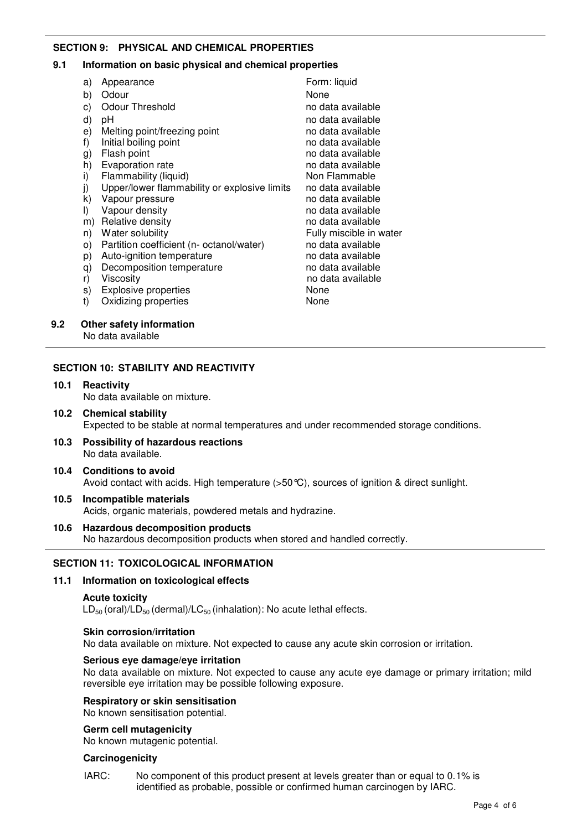## **SECTION 9: PHYSICAL AND CHEMICAL PROPERTIES**

#### **9.1 Information on basic physical and chemical properties**

| a)      | Appearance                                   | Form: liquid            |
|---------|----------------------------------------------|-------------------------|
| b)      | Odour                                        | None                    |
| c)      | <b>Odour Threshold</b>                       | no data available       |
| d)      | рH                                           | no data available       |
| e)      | Melting point/freezing point                 | no data available       |
| f)      | Initial boiling point                        | no data available       |
| g)      | Flash point                                  | no data available       |
| h)      | Evaporation rate                             | no data available       |
| i)      | Flammability (liquid)                        | Non Flammable           |
| j)      | Upper/lower flammability or explosive limits | no data available       |
| k)      | Vapour pressure                              | no data available       |
| $\vert$ | Vapour density                               | no data available       |
| m)      | Relative density                             | no data available       |
| n)      | Water solubility                             | Fully miscible in water |
| $\circ$ | Partition coefficient (n- octanol/water)     | no data available       |
| p)      | Auto-ignition temperature                    | no data available       |
| q)      | Decomposition temperature                    | no data available       |
| r)      | Viscosity                                    | no data available       |
| s)      | Explosive properties                         | None                    |
| t)      | Oxidizing properties                         | None                    |
|         |                                              |                         |

#### **9.2 Other safety information**

No data available

## **SECTION 10: STABILITY AND REACTIVITY**

- **10.1 Reactivity** No data available on mixture.
- **10.2 Chemical stability** Expected to be stable at normal temperatures and under recommended storage conditions.
- **10.3 Possibility of hazardous reactions** No data available.
- **10.4 Conditions to avoid** Avoid contact with acids. High temperature (>50°C), sources of ignition & direct sunlight.
- **10.5 Incompatible materials** Acids, organic materials, powdered metals and hydrazine.
- **10.6 Hazardous decomposition products** No hazardous decomposition products when stored and handled correctly.

## **SECTION 11: TOXICOLOGICAL INFORMATION**

#### **11.1 Information on toxicological effects**

#### **Acute toxicity**

 $LD_{50}$  (oral)/LD<sub>50</sub> (dermal)/LC<sub>50</sub> (inhalation): No acute lethal effects.

#### **Skin corrosion/irritation**

No data available on mixture. Not expected to cause any acute skin corrosion or irritation.

#### **Serious eye damage/eye irritation**

No data available on mixture. Not expected to cause any acute eye damage or primary irritation; mild reversible eye irritation may be possible following exposure.

#### **Respiratory or skin sensitisation**

No known sensitisation potential.

#### **Germ cell mutagenicity**

No known mutagenic potential.

#### **Carcinogenicity**

IARC: No component of this product present at levels greater than or equal to 0.1% is identified as probable, possible or confirmed human carcinogen by IARC.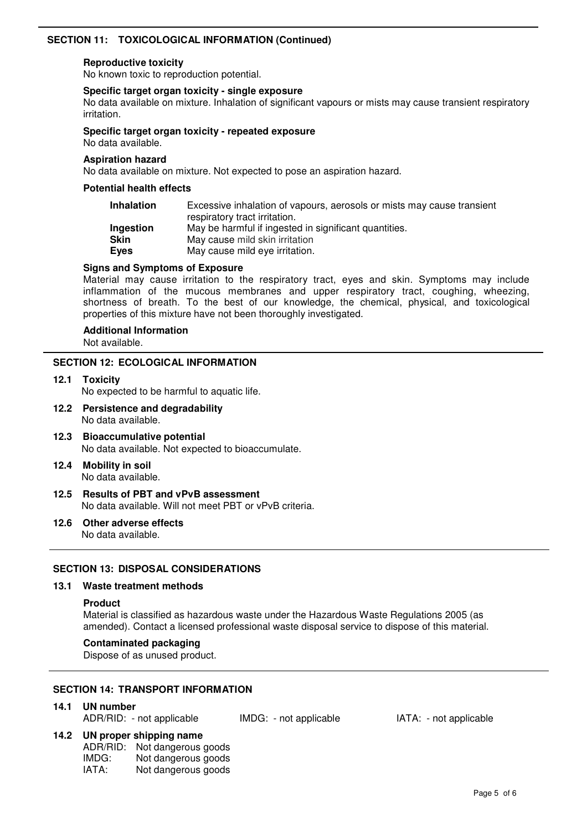## **SECTION 11: TOXICOLOGICAL INFORMATION (Continued)**

#### **Reproductive toxicity**

No known toxic to reproduction potential.

#### **Specific target organ toxicity - single exposure**

No data available on mixture. Inhalation of significant vapours or mists may cause transient respiratory irritation.

#### **Specific target organ toxicity - repeated exposure**

No data available.

#### **Aspiration hazard**

No data available on mixture. Not expected to pose an aspiration hazard.

## **Potential health effects**

| <b>Inhalation</b> | Excessive inhalation of vapours, aerosols or mists may cause transient<br>respiratory tract irritation. |
|-------------------|---------------------------------------------------------------------------------------------------------|
| Ingestion         | May be harmful if ingested in significant quantities.                                                   |
| <b>Skin</b>       | May cause mild skin irritation                                                                          |
| Eyes              | May cause mild eye irritation.                                                                          |

## **Signs and Symptoms of Exposure**

Material may cause irritation to the respiratory tract, eyes and skin. Symptoms may include inflammation of the mucous membranes and upper respiratory tract, coughing, wheezing, shortness of breath. To the best of our knowledge, the chemical, physical, and toxicological properties of this mixture have not been thoroughly investigated.

## **Additional Information**

Not available.

#### **SECTION 12: ECOLOGICAL INFORMATION**

- **12.1 Toxicity** No expected to be harmful to aquatic life.
- **12.2 Persistence and degradability** No data available.
- **12.3 Bioaccumulative potential** No data available. Not expected to bioaccumulate.
- **12.4 Mobility in soil** No data available.
- **12.5 Results of PBT and vPvB assessment** No data available. Will not meet PBT or vPvB criteria.
- **12.6 Other adverse effects** No data available.

## **SECTION 13: DISPOSAL CONSIDERATIONS**

## **13.1 Waste treatment methods**

#### **Product**

Material is classified as hazardous waste under the Hazardous Waste Regulations 2005 (as amended). Contact a licensed professional waste disposal service to dispose of this material.

## **Contaminated packaging**

Dispose of as unused product.

#### **SECTION 14: TRANSPORT INFORMATION**

## **14.1 UN number**

| ADR/RID: - not applicable | IMDG: - not applicable |
|---------------------------|------------------------|
|                           |                        |

## **14.2 UN proper shipping name**

| ADR/RID: | Not dangerous goods |
|----------|---------------------|
| IMDG:    | Not dangerous goods |
| IATA:    | Not dangerous goods |